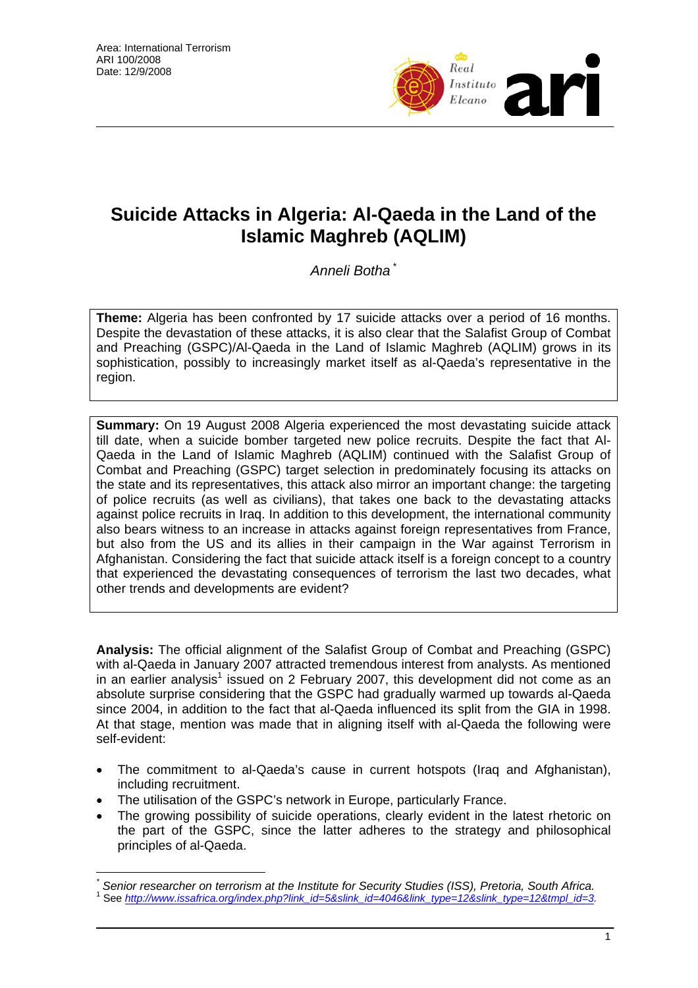

## **Suicide Attacks in Algeria: Al-Qaeda in the Land of the Islamic Maghreb (AQLIM)**

*Anneli Botha* \*

**Theme:** Algeria has been confronted by 17 suicide attacks over a period of 16 months. Despite the devastation of these attacks, it is also clear that the Salafist Group of Combat and Preaching (GSPC)/Al-Qaeda in the Land of Islamic Maghreb (AQLIM) grows in its sophistication, possibly to increasingly market itself as al-Qaeda's representative in the region.

**Summary:** On 19 August 2008 Algeria experienced the most devastating suicide attack till date, when a suicide bomber targeted new police recruits. Despite the fact that Al-Qaeda in the Land of Islamic Maghreb (AQLIM) continued with the Salafist Group of Combat and Preaching (GSPC) target selection in predominately focusing its attacks on the state and its representatives, this attack also mirror an important change: the targeting of police recruits (as well as civilians), that takes one back to the devastating attacks against police recruits in Iraq. In addition to this development, the international community also bears witness to an increase in attacks against foreign representatives from France, but also from the US and its allies in their campaign in the War against Terrorism in Afghanistan. Considering the fact that suicide attack itself is a foreign concept to a country that experienced the devastating consequences of terrorism the last two decades, what other trends and developments are evident?

**Analysis:** The official alignment of the Salafist Group of Combat and Preaching (GSPC) with al-Qaeda in January 2007 attracted tremendous interest from analysts. As mentioned in an earlier analysis<sup>1</sup> issued on 2 February 2007, this development did not come as an absolute surprise considering that the GSPC had gradually warmed up towards al-Qaeda since 2004, in addition to the fact that al-Qaeda influenced its split from the GIA in 1998. At that stage, mention was made that in aligning itself with al-Qaeda the following were self-evident:

- The commitment to al-Qaeda's cause in current hotspots (Iraq and Afghanistan), including recruitment.
- The utilisation of the GSPC's network in Europe, particularly France.

 $\overline{a}$ 

The growing possibility of suicide operations, clearly evident in the latest rhetoric on the part of the GSPC, since the latter adheres to the strategy and philosophical principles of al-Qaeda.

*<sup>\*</sup> Senior researcher on terrorism at the Institute for Security Studies (ISS), Pretoria, South Africa.* <sup>1</sup>

See http://www.issafrica.org/index.php?link\_id=5&slink\_id=4046&link\_type=12&slink\_type=12&tmpl\_id=3.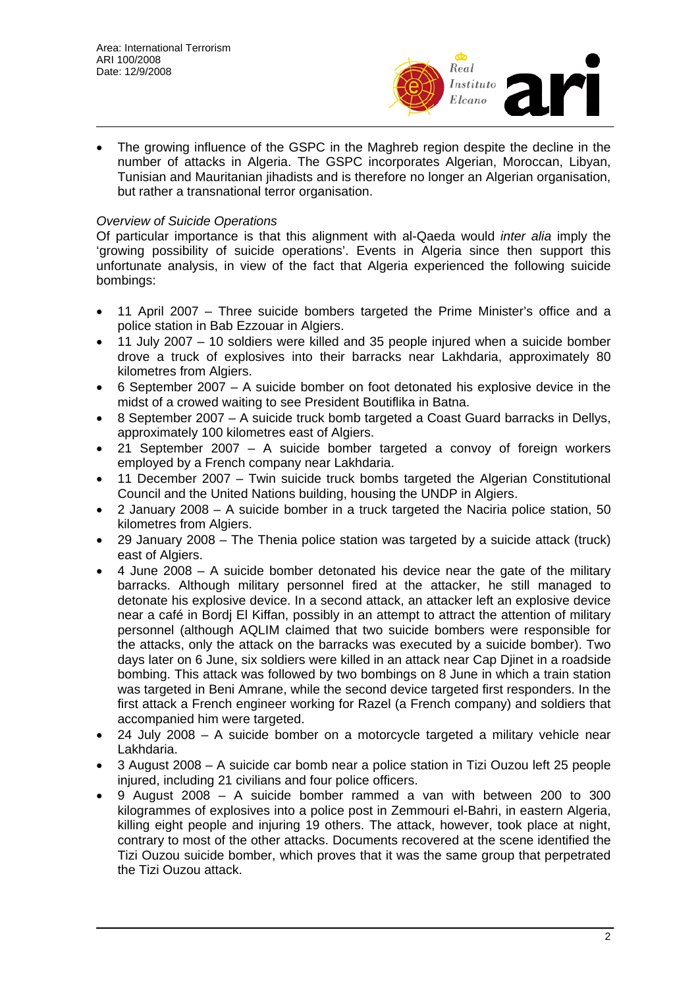

The growing influence of the GSPC in the Maghreb region despite the decline in the number of attacks in Algeria. The GSPC incorporates Algerian, Moroccan, Libyan, Tunisian and Mauritanian jihadists and is therefore no longer an Algerian organisation, but rather a transnational terror organisation.

## *Overview of Suicide Operations*

Of particular importance is that this alignment with al-Qaeda would *inter alia* imply the 'growing possibility of suicide operations'. Events in Algeria since then support this unfortunate analysis, in view of the fact that Algeria experienced the following suicide bombings:

- 11 April 2007 Three suicide bombers targeted the Prime Minister's office and a police station in Bab Ezzouar in Algiers.
- 11 July 2007 10 soldiers were killed and 35 people injured when a suicide bomber drove a truck of explosives into their barracks near Lakhdaria, approximately 80 kilometres from Algiers.
- 6 September 2007 A suicide bomber on foot detonated his explosive device in the midst of a crowed waiting to see President Boutiflika in Batna.
- 8 September 2007 A suicide truck bomb targeted a Coast Guard barracks in Dellys, approximately 100 kilometres east of Algiers.
- 21 September 2007 A suicide bomber targeted a convoy of foreign workers employed by a French company near Lakhdaria.
- 11 December 2007 Twin suicide truck bombs targeted the Algerian Constitutional Council and the United Nations building, housing the UNDP in Algiers.
- 2 January 2008 A suicide bomber in a truck targeted the Naciria police station, 50 kilometres from Algiers.
- 29 January 2008 The Thenia police station was targeted by a suicide attack (truck) east of Algiers.
- 4 June 2008 A suicide bomber detonated his device near the gate of the military barracks. Although military personnel fired at the attacker, he still managed to detonate his explosive device. In a second attack, an attacker left an explosive device near a café in Bordj El Kiffan, possibly in an attempt to attract the attention of military personnel (although AQLIM claimed that two suicide bombers were responsible for the attacks, only the attack on the barracks was executed by a suicide bomber). Two days later on 6 June, six soldiers were killed in an attack near Cap Djinet in a roadside bombing. This attack was followed by two bombings on 8 June in which a train station was targeted in Beni Amrane, while the second device targeted first responders. In the first attack a French engineer working for Razel (a French company) and soldiers that accompanied him were targeted.
- 24 July 2008 A suicide bomber on a motorcycle targeted a military vehicle near Lakhdaria.
- 3 August 2008 A suicide car bomb near a police station in Tizi Ouzou left 25 people injured, including 21 civilians and four police officers.
- 9 August 2008 A suicide bomber rammed a van with between 200 to 300 kilogrammes of explosives into a police post in Zemmouri el-Bahri, in eastern Algeria, killing eight people and injuring 19 others. The attack, however, took place at night, contrary to most of the other attacks. Documents recovered at the scene identified the Tizi Ouzou suicide bomber, which proves that it was the same group that perpetrated the Tizi Ouzou attack.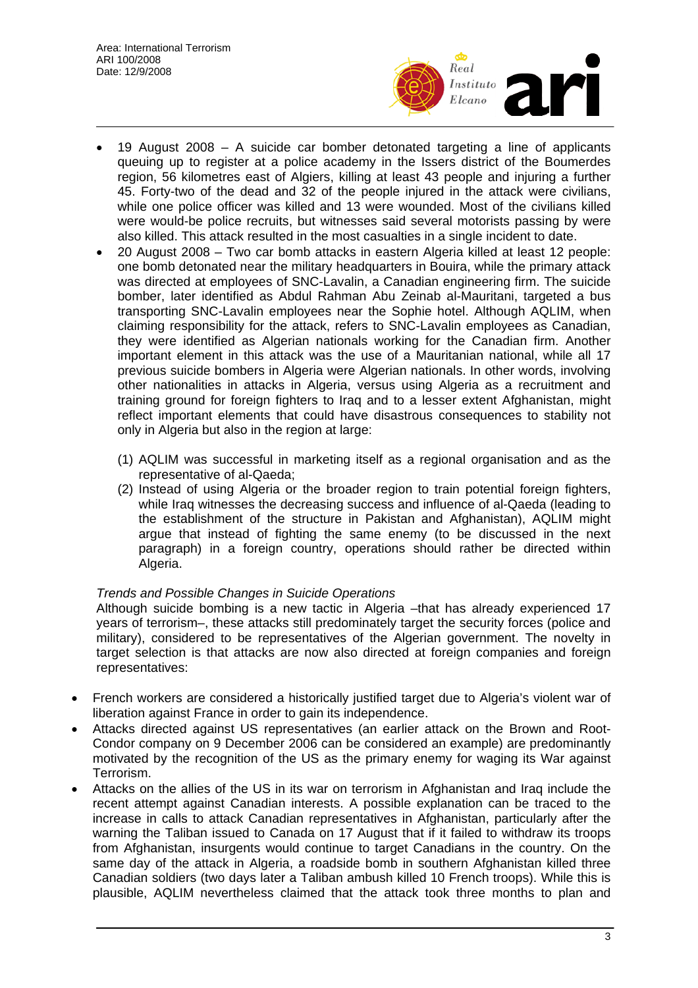

- 19 August 2008 A suicide car bomber detonated targeting a line of applicants queuing up to register at a police academy in the Issers district of the Boumerdes region, 56 kilometres east of Algiers, killing at least 43 people and injuring a further 45. Forty-two of the dead and 32 of the people injured in the attack were civilians, while one police officer was killed and 13 were wounded. Most of the civilians killed were would-be police recruits, but witnesses said several motorists passing by were also killed. This attack resulted in the most casualties in a single incident to date.
- 20 August 2008 Two car bomb attacks in eastern Algeria killed at least 12 people: one bomb detonated near the military headquarters in Bouira, while the primary attack was directed at employees of SNC-Lavalin, a Canadian engineering firm. The suicide bomber, later identified as Abdul Rahman Abu Zeinab al-Mauritani, targeted a bus transporting SNC-Lavalin employees near the Sophie hotel. Although AQLIM, when claiming responsibility for the attack, refers to SNC-Lavalin employees as Canadian, they were identified as Algerian nationals working for the Canadian firm. Another important element in this attack was the use of a Mauritanian national, while all 17 previous suicide bombers in Algeria were Algerian nationals. In other words, involving other nationalities in attacks in Algeria, versus using Algeria as a recruitment and training ground for foreign fighters to Iraq and to a lesser extent Afghanistan, might reflect important elements that could have disastrous consequences to stability not only in Algeria but also in the region at large:
	- (1) AQLIM was successful in marketing itself as a regional organisation and as the representative of al-Qaeda;
	- (2) Instead of using Algeria or the broader region to train potential foreign fighters, while Iraq witnesses the decreasing success and influence of al-Qaeda (leading to the establishment of the structure in Pakistan and Afghanistan), AQLIM might argue that instead of fighting the same enemy (to be discussed in the next paragraph) in a foreign country, operations should rather be directed within Algeria.

## *Trends and Possible Changes in Suicide Operations*

Although suicide bombing is a new tactic in Algeria –that has already experienced 17 years of terrorism–, these attacks still predominately target the security forces (police and military), considered to be representatives of the Algerian government. The novelty in target selection is that attacks are now also directed at foreign companies and foreign representatives:

- French workers are considered a historically justified target due to Algeria's violent war of liberation against France in order to gain its independence.
- Attacks directed against US representatives (an earlier attack on the Brown and Root-Condor company on 9 December 2006 can be considered an example) are predominantly motivated by the recognition of the US as the primary enemy for waging its War against Terrorism.
- Attacks on the allies of the US in its war on terrorism in Afghanistan and Iraq include the recent attempt against Canadian interests. A possible explanation can be traced to the increase in calls to attack Canadian representatives in Afghanistan, particularly after the warning the Taliban issued to Canada on 17 August that if it failed to withdraw its troops from Afghanistan, insurgents would continue to target Canadians in the country. On the same day of the attack in Algeria, a roadside bomb in southern Afghanistan killed three Canadian soldiers (two days later a Taliban ambush killed 10 French troops). While this is plausible, AQLIM nevertheless claimed that the attack took three months to plan and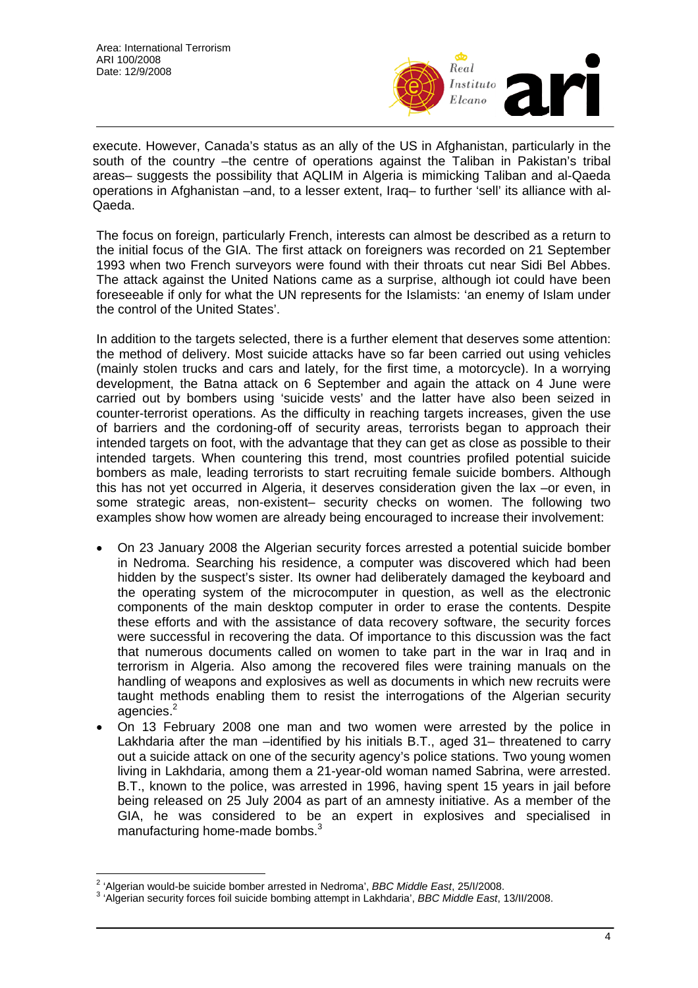

execute. However, Canada's status as an ally of the US in Afghanistan, particularly in the south of the country –the centre of operations against the Taliban in Pakistan's tribal areas– suggests the possibility that AQLIM in Algeria is mimicking Taliban and al-Qaeda operations in Afghanistan –and, to a lesser extent, Iraq– to further 'sell' its alliance with al-Qaeda.

The focus on foreign, particularly French, interests can almost be described as a return to the initial focus of the GIA. The first attack on foreigners was recorded on 21 September 1993 when two French surveyors were found with their throats cut near Sidi Bel Abbes. The attack against the United Nations came as a surprise, although iot could have been foreseeable if only for what the UN represents for the Islamists: 'an enemy of Islam under the control of the United States'.

In addition to the targets selected, there is a further element that deserves some attention: the method of delivery. Most suicide attacks have so far been carried out using vehicles (mainly stolen trucks and cars and lately, for the first time, a motorcycle). In a worrying development, the Batna attack on 6 September and again the attack on 4 June were carried out by bombers using 'suicide vests' and the latter have also been seized in counter-terrorist operations. As the difficulty in reaching targets increases, given the use of barriers and the cordoning-off of security areas, terrorists began to approach their intended targets on foot, with the advantage that they can get as close as possible to their intended targets. When countering this trend, most countries profiled potential suicide bombers as male, leading terrorists to start recruiting female suicide bombers. Although this has not yet occurred in Algeria, it deserves consideration given the lax –or even, in some strategic areas, non-existent– security checks on women. The following two examples show how women are already being encouraged to increase their involvement:

- On 23 January 2008 the Algerian security forces arrested a potential suicide bomber in Nedroma. Searching his residence, a computer was discovered which had been hidden by the suspect's sister. Its owner had deliberately damaged the keyboard and the operating system of the microcomputer in question, as well as the electronic components of the main desktop computer in order to erase the contents. Despite these efforts and with the assistance of data recovery software, the security forces were successful in recovering the data. Of importance to this discussion was the fact that numerous documents called on women to take part in the war in Iraq and in terrorism in Algeria. Also among the recovered files were training manuals on the handling of weapons and explosives as well as documents in which new recruits were taught methods enabling them to resist the interrogations of the Algerian security agencies.<sup>2</sup>
- On 13 February 2008 one man and two women were arrested by the police in Lakhdaria after the man –identified by his initials B.T., aged 31– threatened to carry out a suicide attack on one of the security agency's police stations. Two young women living in Lakhdaria, among them a 21-year-old woman named Sabrina, were arrested. B.T., known to the police, was arrested in 1996, having spent 15 years in jail before being released on 25 July 2004 as part of an amnesty initiative. As a member of the GIA, he was considered to be an expert in explosives and specialised in manufacturing home-made bombs.<sup>3</sup>

<sup>&</sup>lt;sup>2</sup> 'Algerian would-be suicide bomber arrested in Nedroma', *BBC Middle East*, 25/I/2008.<br><sup>3 'Algerian sequrity farees foil quicide bombing etternat in Lekhderie', *BBC Middle East*, 1</sup>

 <sup>&#</sup>x27;Algerian security forces foil suicide bombing attempt in Lakhdaria', *BBC Middle East*, 13/II/2008.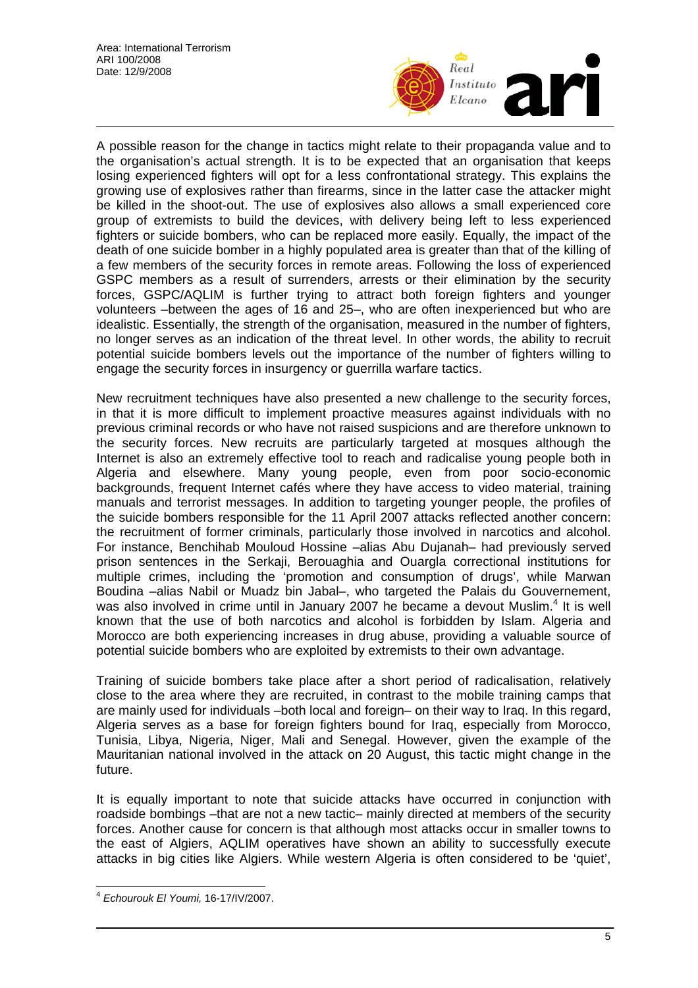

A possible reason for the change in tactics might relate to their propaganda value and to the organisation's actual strength. It is to be expected that an organisation that keeps losing experienced fighters will opt for a less confrontational strategy. This explains the growing use of explosives rather than firearms, since in the latter case the attacker might be killed in the shoot-out. The use of explosives also allows a small experienced core group of extremists to build the devices, with delivery being left to less experienced fighters or suicide bombers, who can be replaced more easily. Equally, the impact of the death of one suicide bomber in a highly populated area is greater than that of the killing of a few members of the security forces in remote areas. Following the loss of experienced GSPC members as a result of surrenders, arrests or their elimination by the security forces, GSPC/AQLIM is further trying to attract both foreign fighters and younger volunteers –between the ages of 16 and 25–, who are often inexperienced but who are idealistic. Essentially, the strength of the organisation, measured in the number of fighters, no longer serves as an indication of the threat level. In other words, the ability to recruit potential suicide bombers levels out the importance of the number of fighters willing to engage the security forces in insurgency or guerrilla warfare tactics.

New recruitment techniques have also presented a new challenge to the security forces, in that it is more difficult to implement proactive measures against individuals with no previous criminal records or who have not raised suspicions and are therefore unknown to the security forces. New recruits are particularly targeted at mosques although the Internet is also an extremely effective tool to reach and radicalise young people both in Algeria and elsewhere. Many young people, even from poor socio-economic backgrounds, frequent Internet cafés where they have access to video material, training manuals and terrorist messages. In addition to targeting younger people, the profiles of the suicide bombers responsible for the 11 April 2007 attacks reflected another concern: the recruitment of former criminals, particularly those involved in narcotics and alcohol. For instance, Benchihab Mouloud Hossine –alias Abu Dujanah– had previously served prison sentences in the Serkaji, Berouaghia and Ouargla correctional institutions for multiple crimes, including the 'promotion and consumption of drugs', while Marwan Boudina –alias Nabil or Muadz bin Jabal–, who targeted the Palais du Gouvernement, was also involved in crime until in January 2007 he became a devout Muslim.<sup>4</sup> It is well known that the use of both narcotics and alcohol is forbidden by Islam. Algeria and Morocco are both experiencing increases in drug abuse, providing a valuable source of potential suicide bombers who are exploited by extremists to their own advantage.

Training of suicide bombers take place after a short period of radicalisation, relatively close to the area where they are recruited, in contrast to the mobile training camps that are mainly used for individuals –both local and foreign– on their way to Iraq. In this regard, Algeria serves as a base for foreign fighters bound for Iraq, especially from Morocco, Tunisia, Libya, Nigeria, Niger, Mali and Senegal. However, given the example of the Mauritanian national involved in the attack on 20 August, this tactic might change in the future.

It is equally important to note that suicide attacks have occurred in conjunction with roadside bombings –that are not a new tactic– mainly directed at members of the security forces. Another cause for concern is that although most attacks occur in smaller towns to the east of Algiers, AQLIM operatives have shown an ability to successfully execute attacks in big cities like Algiers. While western Algeria is often considered to be 'quiet',

 $\overline{a}$ <sup>4</sup> *Echourouk El Youmi,* 16-17/IV/2007.